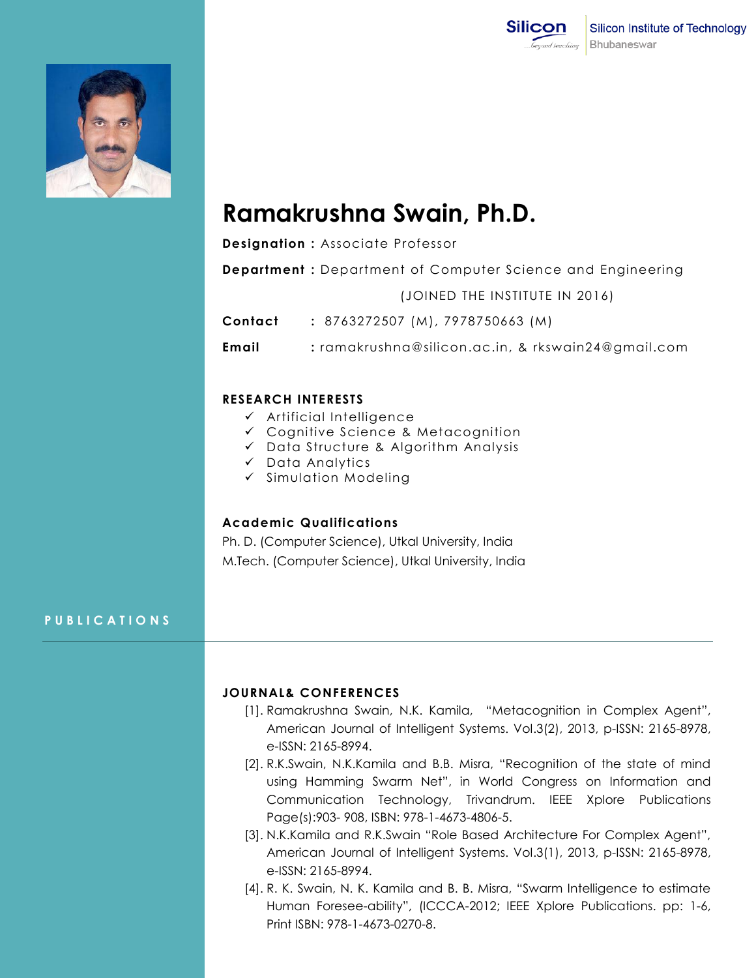



# **Ramakrushna Swain, Ph.D.**

**Designation :** Associate Professor

**Department :** Department of Computer Science and Engineering

(JOINED THE INSTITUTE IN 2016)

**Contact :** 8763272507 (M), 7978750663 (M)

**Email :** ramakrushna@silicon.ac.in, & rkswain24@gmail.com

#### **RESEARCH INTERESTS**

- $\checkmark$  Artificial Intelligence
- Cognitive Science & Metacognition
- $\checkmark$  Data Structure & Algorithm Analysis
- $\checkmark$  Data Analytics
- $\checkmark$  Simulation Modeling

## **Academic Qualifications**

Ph. D. (Computer Science), Utkal University, India M.Tech. (Computer Science), Utkal University, India

#### **P U B L I C A T I O N S**

## **JOURNAL& CONFERENCES**

- [1]. Ramakrushna Swain, N.K. Kamila, "Metacognition in Complex Agent", American Journal of Intelligent Systems. Vol.3(2), 2013, p-ISSN: 2165-8978, e-ISSN: 2165-8994.
- [2]. R.K.Swain, N.K.Kamila and B.B. Misra, "Recognition of the state of mind using Hamming Swarm Net", in World Congress on Information and Communication Technology, Trivandrum. IEEE Xplore Publications Page(s):903- 908, ISBN: 978-1-4673-4806-5.
- [3]. N.K.Kamila and R.K.Swain "Role Based Architecture For Complex Agent", American Journal of Intelligent Systems. Vol.3(1), 2013, p-ISSN: 2165-8978, e-ISSN: 2165-8994.
- [4]. R. K. Swain, N. K. Kamila and B. B. Misra, "Swarm Intelligence to estimate Human Foresee-ability", (ICCCA-2012; IEEE Xplore Publications. pp: 1-6, Print ISBN: 978-1-4673-0270-8.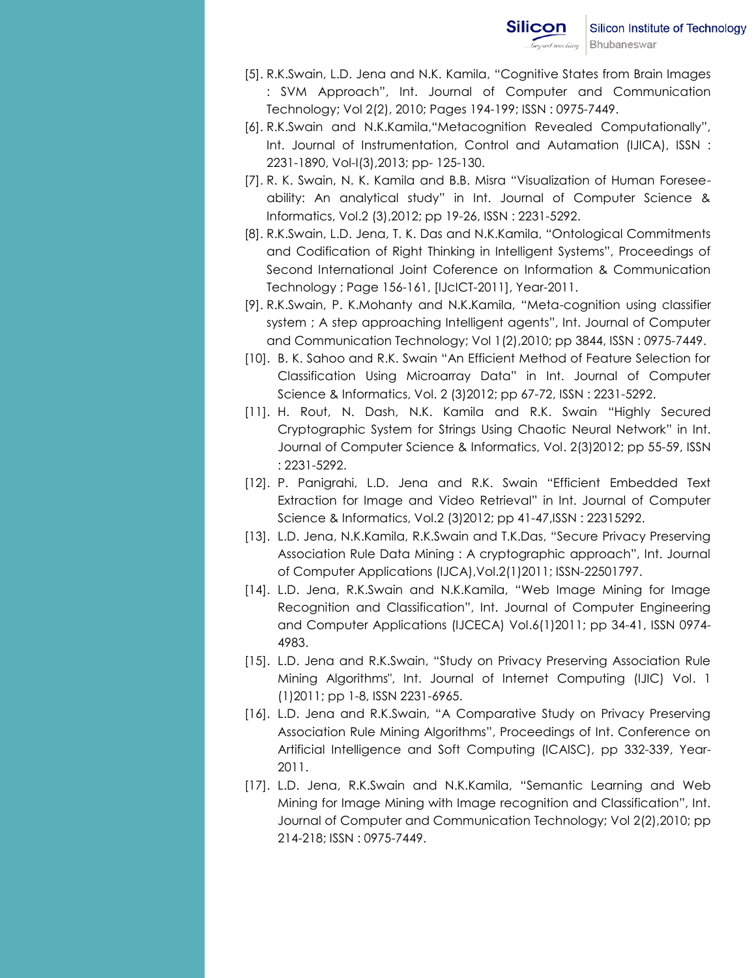- [5]. R.K.Swain, L.D. Jena and N.K. Kamila, "Cognitive States from Brain Images : SVM Approach", Int. Journal of Computer and Communication Technology; Vol 2(2), 2010; Pages 194-199; ISSN : 0975-7449.
- [6]. R.K.Swain and N.K.Kamila,"Metacognition Revealed Computationally", Int. Journal of Instrumentation, Control and Autamation (IJICA), ISSN : 2231-1890, Vol-I(3),2013; pp- 125-130.
- [7]. R. K. Swain, N. K. Kamila and B.B. Misra "Visualization of Human Foreseeability: An analytical study" in Int. Journal of Computer Science & Informatics, Vol.2 (3),2012; pp 19-26, ISSN : 2231-5292.
- [8]. R.K.Swain, L.D. Jena, T. K. Das and N.K.Kamila, "Ontological Commitments and Codification of Right Thinking in Intelligent Systems", Proceedings of Second International Joint Coference on Information & Communication Technology ; Page 156-161, [IJcICT-2011], Year-2011.
- [9]. R.K.Swain, P. K.Mohanty and N.K.Kamila, "Meta-cognition using classifier system ; A step approaching Intelligent agents", Int. Journal of Computer and Communication Technology; Vol 1(2),2010; pp 3844, ISSN : 0975-7449.
- [10]. B. K. Sahoo and R.K. Swain "An Efficient Method of Feature Selection for Classification Using Microarray Data" in Int. Journal of Computer Science & Informatics, Vol. 2 (3)2012; pp 67-72, ISSN : 2231-5292.
- [11]. H. Rout, N. Dash, N.K. Kamila and R.K. Swain "Highly Secured Cryptographic System for Strings Using Chaotic Neural Network" in Int. Journal of Computer Science & Informatics, Vol. 2(3)2012; pp 55-59, ISSN : 2231-5292.
- [12]. P. Panigrahi, L.D. Jena and R.K. Swain "Efficient Embedded Text Extraction for Image and Video Retrieval" in Int. Journal of Computer Science & Informatics, Vol.2 (3)2012; pp 41-47,ISSN : 22315292.
- [13]. L.D. Jena, N.K.Kamila, R.K.Swain and T.K.Das, "Secure Privacy Preserving Association Rule Data Mining : A cryptographic approach", Int. Journal of Computer Applications (IJCA),Vol.2(1)2011; ISSN-22501797.
- [14]. L.D. Jena, R.K.Swain and N.K.Kamila, "Web Image Mining for Image Recognition and Classification", Int. Journal of Computer Engineering and Computer Applications (IJCECA) Vol.6(1)2011; pp 34-41, ISSN 0974- 4983.
- [15]. L.D. Jena and R.K.Swain, "Study on Privacy Preserving Association Rule Mining Algorithms", Int. Journal of Internet Computing (IJIC) Vol. 1 (1)2011; pp 1-8, ISSN 2231-6965.
- [16]. L.D. Jena and R.K.Swain, "A Comparative Study on Privacy Preserving Association Rule Mining Algorithms", Proceedings of Int. Conference on Artificial Intelligence and Soft Computing (ICAISC), pp 332-339, Year-2011.
- [17]. L.D. Jena, R.K.Swain and N.K.Kamila, "Semantic Learning and Web Mining for Image Mining with Image recognition and Classification", Int. Journal of Computer and Communication Technology; Vol 2(2),2010; pp 214-218; ISSN : 0975-7449.